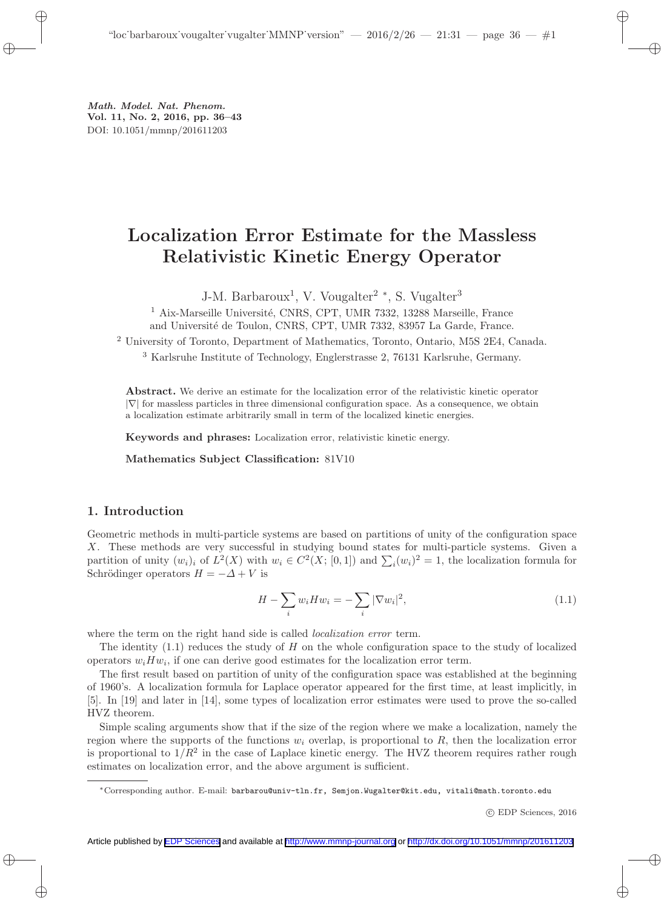Math. Model. Nat. Phenom. Vol. 11, No. 2, 2016, pp. 36–43 DOI: 10.1051/mmnp/201611203

## Localization Error Estimate for the Massless Relativistic Kinetic Energy Operator

J-M. Barbaroux<sup>1</sup>, V. Vougalter<sup>2</sup><sup>\*</sup>, S. Vugalter<sup>3</sup>

 $1$  Aix-Marseille Université, CNRS, CPT, UMR 7332, 13288 Marseille, France

and Université de Toulon, CNRS, CPT, UMR 7332, 83957 La Garde, France.

<sup>2</sup> University of Toronto, Department of Mathematics, Toronto, Ontario, M5S 2E4, Canada.

<sup>3</sup> Karlsruhe Institute of Technology, Englerstrasse 2, 76131 Karlsruhe, Germany.

Abstract. We derive an estimate for the localization error of the relativistic kinetic operator  $|\nabla|$  for massless particles in three dimensional configuration space. As a consequence, we obtain a localization estimate arbitrarily small in term of the localized kinetic energies.

Keywords and phrases: Localization error, relativistic kinetic energy.

Mathematics Subject Classification: 81V10

## 1. Introduction

Geometric methods in multi-particle systems are based on partitions of unity of the configuration space X. These methods are very successful in studying bound states for multi-particle systems. Given a partition of unity  $(w_i)_i$  of  $L^2(X)$  with  $w_i \in C^2(X; [0,1])$  and  $\sum_i (w_i)^2 = 1$ , the localization formula for Schrödinger operators  $H = -\Delta + V$  is

$$
H - \sum_{i} w_i H w_i = -\sum_{i} |\nabla w_i|^2,
$$
\n(1.1)

where the term on the right hand side is called *localization error* term.

The identity  $(1.1)$  reduces the study of H on the whole configuration space to the study of localized operators  $w_i H w_i$ , if one can derive good estimates for the localization error term.

The first result based on partition of unity of the configuration space was established at the beginning of 1960's. A localization formula for Laplace operator appeared for the first time, at least implicitly, in [5]. In [19] and later in [14], some types of localization error estimates were used to prove the so-called HVZ theorem.

Simple scaling arguments show that if the size of the region where we make a localization, namely the region where the supports of the functions  $w_i$  overlap, is proportional to  $R$ , then the localization error is proportional to  $1/R^2$  in the case of Laplace kinetic energy. The HVZ theorem requires rather rough estimates on localization error, and the above argument is sufficient.

<sup>∗</sup>Corresponding author. E-mail: barbarou@univ-tln.fr, Semjon.Wugalter@kit.edu, vitali@math.toronto.edu

c EDP Sciences, 2016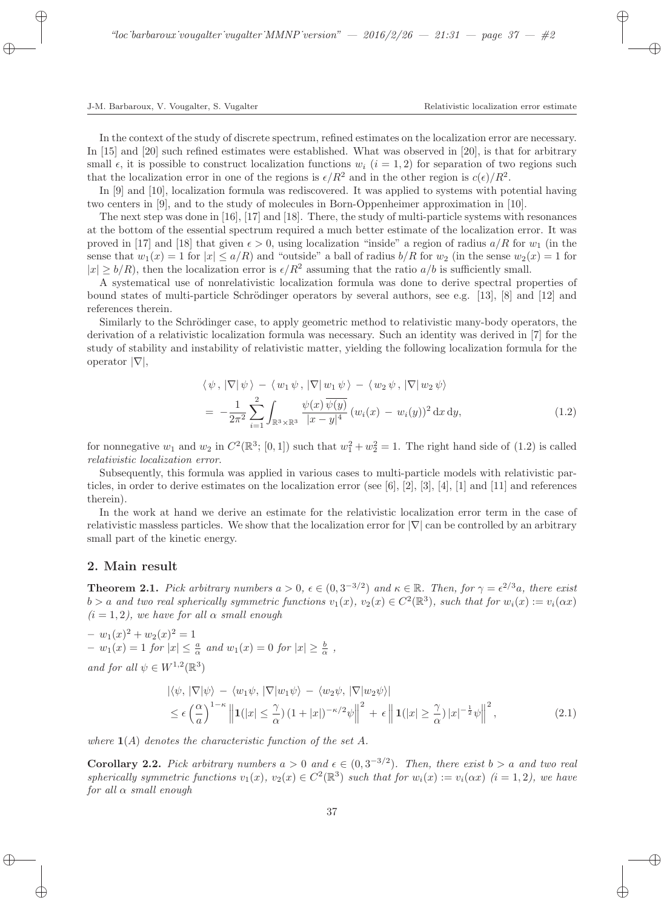In the context of the study of discrete spectrum, refined estimates on the localization error are necessary. In [15] and [20] such refined estimates were established. What was observed in [20], is that for arbitrary small  $\epsilon$ , it is possible to construct localization functions  $w_i$  ( $i = 1, 2$ ) for separation of two regions such that the localization error in one of the regions is  $\epsilon/R^2$  and in the other region is  $c(\epsilon)/R^2$ .

In [9] and [10], localization formula was rediscovered. It was applied to systems with potential having two centers in [9], and to the study of molecules in Born-Oppenheimer approximation in [10].

The next step was done in [16], [17] and [18]. There, the study of multi-particle systems with resonances at the bottom of the essential spectrum required a much better estimate of the localization error. It was proved in [17] and [18] that given  $\epsilon > 0$ , using localization "inside" a region of radius  $a/R$  for  $w_1$  (in the sense that  $w_1(x) = 1$  for  $|x| \le a/R$ ) and "outside" a ball of radius  $b/R$  for  $w_2$  (in the sense  $w_2(x) = 1$  for  $|x| \ge b/R$ , then the localization error is  $\epsilon/R^2$  assuming that the ratio  $a/b$  is sufficiently small.

A systematical use of nonrelativistic localization formula was done to derive spectral properties of bound states of multi-particle Schrödinger operators by several authors, see e.g. [13], [8] and [12] and references therein.

Similarly to the Schrödinger case, to apply geometric method to relativistic many-body operators, the derivation of a relativistic localization formula was necessary. Such an identity was derived in [7] for the study of stability and instability of relativistic matter, yielding the following localization formula for the operator  $|\nabla|$ ,

$$
\langle \psi, |\nabla | \psi \rangle - \langle w_1 \psi, |\nabla | w_1 \psi \rangle - \langle w_2 \psi, |\nabla | w_2 \psi \rangle
$$
  
= 
$$
-\frac{1}{2\pi^2} \sum_{i=1}^2 \int_{\mathbb{R}^3 \times \mathbb{R}^3} \frac{\psi(x) \overline{\psi(y)}}{|x - y|^4} (w_i(x) - w_i(y))^2 dx dy,
$$
 (1.2)

for nonnegative  $w_1$  and  $w_2$  in  $C^2(\mathbb{R}^3; [0,1])$  such that  $w_1^2 + w_2^2 = 1$ . The right hand side of (1.2) is called relativistic localization error.

Subsequently, this formula was applied in various cases to multi-particle models with relativistic particles, in order to derive estimates on the localization error (see [6], [2], [3], [4], [1] and [11] and references therein).

In the work at hand we derive an estimate for the relativistic localization error term in the case of relativistic massless particles. We show that the localization error for |∇| can be controlled by an arbitrary small part of the kinetic energy.

## 2. Main result

**Theorem 2.1.** Pick arbitrary numbers  $a > 0$ ,  $\epsilon \in (0, 3^{-3/2})$  and  $\kappa \in \mathbb{R}$ . Then, for  $\gamma = \epsilon^{2/3}a$ , there exist  $b > a$  and two real spherically symmetric functions  $v_1(x)$ ,  $v_2(x) \in C^2(\mathbb{R}^3)$ , such that for  $w_i(x) := v_i(\alpha x)$  $(i = 1, 2)$ , we have for all  $\alpha$  small enough

 $- w_1(x)^2 + w_2(x)^2 = 1$  $- w_1(x) = 1$  for  $|x| \leq \frac{a}{\alpha}$  and  $w_1(x) = 0$  for  $|x| \geq \frac{b}{\alpha}$ , and for all  $\psi \in W^{1,2}(\mathbb{R}^3)$ 

$$
|\langle \psi, |\nabla | \psi \rangle - \langle w_1 \psi, |\nabla | w_1 \psi \rangle - \langle w_2 \psi, |\nabla | w_2 \psi \rangle|
$$
  
\n
$$
\leq \epsilon \left(\frac{\alpha}{a}\right)^{1-\kappa} \left\| \mathbf{1}(|x| \leq \frac{\gamma}{\alpha}) \left(1+|x|\right)^{-\kappa/2} \psi \right\|^2 + \epsilon \left\| \mathbf{1}(|x| \geq \frac{\gamma}{\alpha}) |x|^{-\frac{1}{2}} \psi \right\|^2,
$$
\n(2.1)

where  $\mathbf{1}(A)$  denotes the characteristic function of the set A.

**Corollary 2.2.** Pick arbitrary numbers  $a > 0$  and  $\epsilon \in (0, 3^{-3/2})$ . Then, there exist  $b > a$  and two real spherically symmetric functions  $v_1(x)$ ,  $v_2(x) \in C^2(\mathbb{R}^3)$  such that for  $w_i(x) := v_i(\alpha x)$   $(i = 1, 2)$ , we have for all  $\alpha$  small enough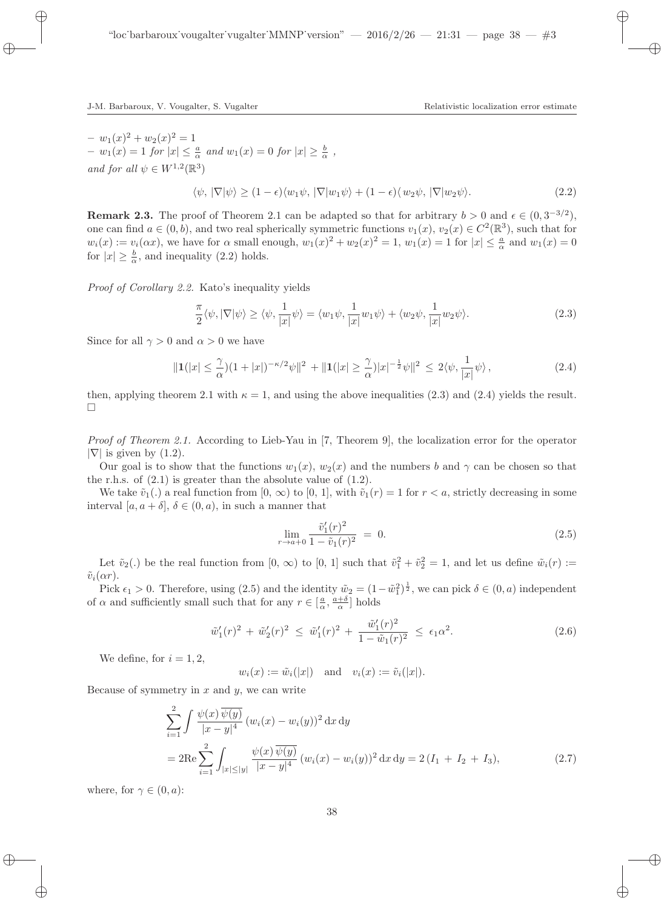$- w_1(x)^2 + w_2(x)^2 = 1$  $- w_1(x) = 1$  for  $|x| \leq \frac{a}{\alpha}$  and  $w_1(x) = 0$  for  $|x| \geq \frac{b}{\alpha}$ , and for all  $\psi \in W^{1,2}(\mathbb{R}^3)$ 

 $\langle \psi, |\nabla | \psi \rangle > (1 - \epsilon) \langle w_1 \psi, |\nabla | w_1 \psi \rangle + (1 - \epsilon) \langle w_2 \psi, |\nabla | w_2 \psi \rangle.$  (2.2)

**Remark 2.3.** The proof of Theorem 2.1 can be adapted so that for arbitrary  $b > 0$  and  $\epsilon \in (0, 3^{-3/2})$ , one can find  $a \in (0, b)$ , and two real spherically symmetric functions  $v_1(x)$ ,  $v_2(x) \in C^2(\mathbb{R}^3)$ , such that for  $w_i(x) := v_i(\alpha x)$ , we have for  $\alpha$  small enough,  $w_1(x)^2 + w_2(x)^2 = 1$ ,  $w_1(x) = 1$  for  $|x| \leq \frac{a}{\alpha}$  and  $w_1(x) = 0$ for  $|x| \geq \frac{b}{\alpha}$ , and inequality (2.2) holds.

Proof of Corollary 2.2. Kato's inequality yields

$$
\frac{\pi}{2}\langle\psi,|\nabla|\psi\rangle\geq\langle\psi,\frac{1}{|x|}\psi\rangle=\langle w_1\psi,\frac{1}{|x|}w_1\psi\rangle+\langle w_2\psi,\frac{1}{|x|}w_2\psi\rangle.
$$
\n(2.3)

Since for all  $\gamma > 0$  and  $\alpha > 0$  we have

$$
\|\mathbf{1}(|x| \leq \frac{\gamma}{\alpha})(1+|x|)^{-\kappa/2}\psi\|^2 + \|\mathbf{1}(|x| \geq \frac{\gamma}{\alpha})|x|^{-\frac{1}{2}}\psi\|^2 \leq 2\langle \psi, \frac{1}{|x|}\psi \rangle, \tag{2.4}
$$

then, applying theorem 2.1 with  $\kappa = 1$ , and using the above inequalities (2.3) and (2.4) yields the result.  $\Box$ 

Proof of Theorem 2.1. According to Lieb-Yau in [7, Theorem 9], the localization error for the operator  $|\nabla|$  is given by  $(1.2)$ .

Our goal is to show that the functions  $w_1(x)$ ,  $w_2(x)$  and the numbers b and  $\gamma$  can be chosen so that the r.h.s. of  $(2.1)$  is greater than the absolute value of  $(1.2)$ .

We take  $\tilde{v}_1(.)$  a real function from  $[0, \infty)$  to  $[0, 1]$ , with  $\tilde{v}_1(r) = 1$  for  $r < a$ , strictly decreasing in some interval  $[a, a + \delta], \delta \in (0, a)$ , in such a manner that

$$
\lim_{r \to a+0} \frac{\tilde{v}_1'(r)^2}{1 - \tilde{v}_1(r)^2} = 0.
$$
\n(2.5)

Let  $\tilde{v}_2(.)$  be the real function from  $[0, \infty)$  to  $[0, 1]$  such that  $\tilde{v}_1^2 + \tilde{v}_2^2 = 1$ , and let us define  $\tilde{w}_i(r) :=$  $\tilde{v}_i(\alpha r)$ .

Pick  $\epsilon_1 > 0$ . Therefore, using (2.5) and the identity  $\tilde{w}_2 = (1 - \tilde{w}_1^2)^{\frac{1}{2}}$ , we can pick  $\delta \in (0, a)$  independent of  $\alpha$  and sufficiently small such that for any  $r \in \left[\frac{a}{\alpha}, \frac{a+\delta}{\alpha}\right]$  holds

$$
\tilde{w}'_1(r)^2 + \tilde{w}'_2(r)^2 \le \tilde{w}'_1(r)^2 + \frac{\tilde{w}'_1(r)^2}{1 - \tilde{w}_1(r)^2} \le \epsilon_1 \alpha^2. \tag{2.6}
$$

We define, for  $i = 1, 2$ ,

 $w_i(x) := \tilde{w}_i(|x|)$  and  $v_i(x) := \tilde{v}_i(|x|).$ 

Because of symmetry in  $x$  and  $y$ , we can write

$$
\sum_{i=1}^{2} \int \frac{\psi(x) \overline{\psi(y)}}{|x - y|^4} (w_i(x) - w_i(y))^2 dx dy
$$
  
= 
$$
2 \text{Re} \sum_{i=1}^{2} \int_{|x| \le |y|} \frac{\psi(x) \overline{\psi(y)}}{|x - y|^4} (w_i(x) - w_i(y))^2 dx dy = 2(I_1 + I_2 + I_3),
$$
 (2.7)

where, for  $\gamma \in (0, a)$ :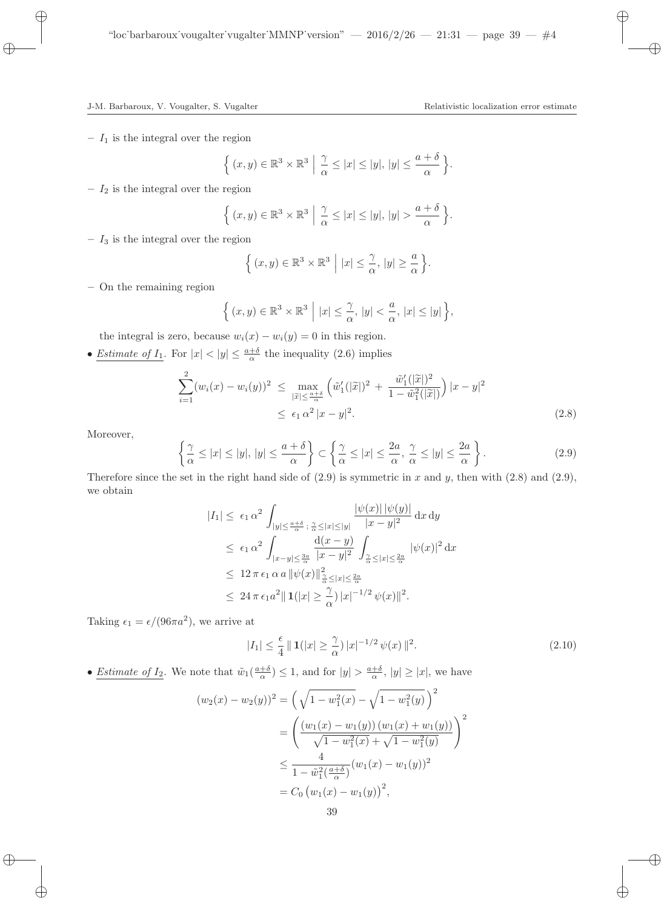–  $I_1$  is the integral over the region

$$
\left\{ (x,y) \in \mathbb{R}^3 \times \mathbb{R}^3 \middle| \frac{\gamma}{\alpha} \le |x| \le |y|, |y| \le \frac{a+\delta}{\alpha} \right\}.
$$

–  $I_2$  is the integral over the region

$$
\left\{ (x,y) \in \mathbb{R}^3 \times \mathbb{R}^3 \; \middle| \; \frac{\gamma}{\alpha} \le |x| \le |y|, \, |y| > \frac{a+\delta}{\alpha} \right\}.
$$

–  $I_3$  is the integral over the region

$$
\left\{ (x, y) \in \mathbb{R}^3 \times \mathbb{R}^3 \middle| |x| \le \frac{\gamma}{\alpha}, |y| \ge \frac{a}{\alpha} \right\}
$$

– On the remaining region

$$
\left\{ (x,y) \in \mathbb{R}^3 \times \mathbb{R}^3 \middle| \left| x \right| \leq \frac{\gamma}{\alpha}, \left| y \right| < \frac{a}{\alpha}, \left| x \right| \leq \left| y \right| \right\},\right.
$$

the integral is zero, because  $w_i(x) - w_i(y) = 0$  in this region.

• *Estimate of I*<sub>1</sub>. For  $|x| < |y| \leq \frac{a+\delta}{\alpha}$  the inequality (2.6) implies

$$
\sum_{i=1}^{2} (w_i(x) - w_i(y))^2 \le \max_{|\widetilde{x}| \le \frac{a+\delta}{\alpha}} \left( \widetilde{w}_1'(|\widetilde{x}|)^2 + \frac{\widetilde{w}_1'(|\widetilde{x}|)^2}{1 - \widetilde{w}_1^2(|\widetilde{x}|)} \right) |x - y|^2
$$
  
 
$$
\le \epsilon_1 \alpha^2 |x - y|^2.
$$
 (2.8)

.

Moreover,

$$
\left\{\frac{\gamma}{\alpha} \le |x| \le |y|, |y| \le \frac{a+\delta}{\alpha}\right\} \subset \left\{\frac{\gamma}{\alpha} \le |x| \le \frac{2a}{\alpha}, \frac{\gamma}{\alpha} \le |y| \le \frac{2a}{\alpha}\right\}.
$$
\n(2.9)

Therefore since the set in the right hand side of  $(2.9)$  is symmetric in x and y, then with  $(2.8)$  and  $(2.9)$ , we obtain

$$
|I_{1}| \leq \epsilon_{1} \alpha^{2} \int_{|y| \leq \frac{a+\delta}{\alpha}; \frac{\gamma}{\alpha} \leq |x| \leq |y|} \frac{|\psi(x)| |\psi(y)|}{|x - y|^{2}} dx dy
$$
  
\n
$$
\leq \epsilon_{1} \alpha^{2} \int_{|x - y| \leq \frac{3a}{\alpha}} \frac{d(x - y)}{|x - y|^{2}} \int_{\frac{\gamma}{\alpha} \leq |x| \leq \frac{2a}{\alpha}} |\psi(x)|^{2} dx
$$
  
\n
$$
\leq 12 \pi \epsilon_{1} \alpha a \|\psi(x)\|_{\frac{\gamma}{\alpha} \leq |x| \leq \frac{2a}{\alpha}}
$$
  
\n
$$
\leq 24 \pi \epsilon_{1} a^{2} \|1(|x| \geq \frac{\gamma}{\alpha}) |x|^{-1/2} \psi(x) \|^{2}.
$$

Taking  $\epsilon_1 = \epsilon/(96\pi a^2)$ , we arrive at

$$
|I_1| \le \frac{\epsilon}{4} \|\mathbf{1}(|x| \ge \frac{\gamma}{\alpha}) |x|^{-1/2} \psi(x) \|^2.
$$
 (2.10)

• <u>Estimate of  $I_2$ </u>. We note that  $\tilde{w}_1(\frac{a+\delta}{\alpha}) \leq 1$ , and for  $|y| > \frac{a+\delta}{\alpha}$ ,  $|y| \geq |x|$ , we have

$$
(w_2(x) - w_2(y))^2 = \left(\sqrt{1 - w_1^2(x)} - \sqrt{1 - w_1^2(y)}\right)^2
$$
  
= 
$$
\left(\frac{(w_1(x) - w_1(y))(w_1(x) + w_1(y))}{\sqrt{1 - w_1^2(x)} + \sqrt{1 - w_1^2(y)}}\right)^2
$$
  

$$
\leq \frac{4}{1 - \tilde{w}_1^2(\frac{a + \delta}{\alpha})}(w_1(x) - w_1(y))^2
$$
  
=  $C_0 (w_1(x) - w_1(y))^2$ ,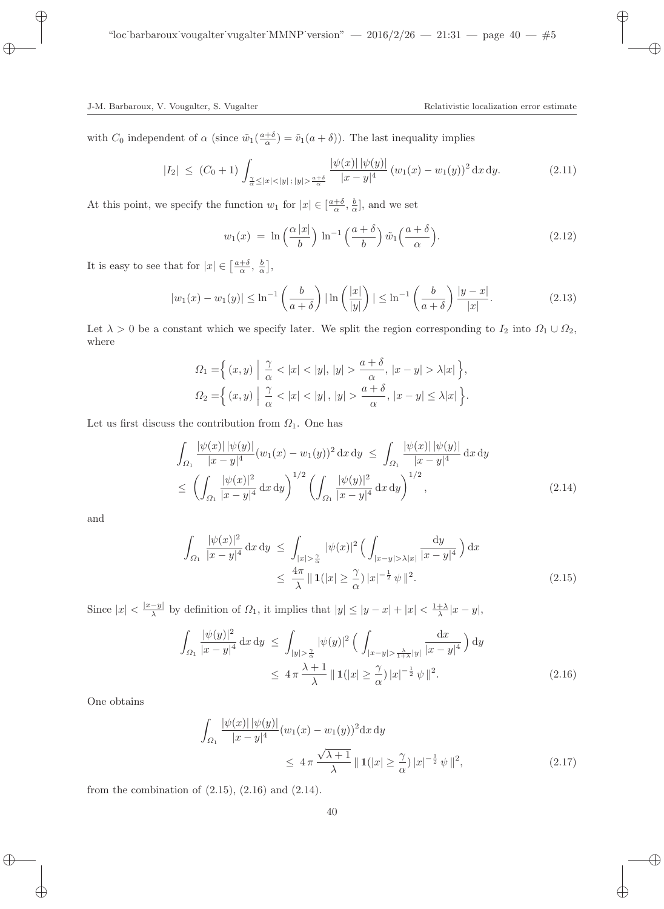with  $C_0$  independent of  $\alpha$  (since  $\tilde{w}_1(\frac{a+b}{\alpha}) = \tilde{v}_1(a+\delta)$ ). The last inequality implies

$$
|I_2| \le (C_0 + 1) \int_{\frac{\gamma}{\alpha} \le |x| < |y|; |y| > \frac{a+\delta}{\alpha}} \frac{|\psi(x)| \, |\psi(y)|}{|x-y|^4} (w_1(x) - w_1(y))^2 \, dx \, dy. \tag{2.11}
$$

At this point, we specify the function  $w_1$  for  $|x| \in \left[\frac{a+\delta}{\alpha}, \frac{b}{\alpha}\right]$ , and we set

$$
w_1(x) = \ln\left(\frac{\alpha|x|}{b}\right)\ln^{-1}\left(\frac{a+\delta}{b}\right)\tilde{w}_1\left(\frac{a+\delta}{\alpha}\right). \tag{2.12}
$$

It is easy to see that for  $|x| \in \left[\frac{a+\delta}{\alpha}, \frac{b}{\alpha}\right],$ 

$$
|w_1(x) - w_1(y)| \le \ln^{-1}\left(\frac{b}{a+\delta}\right) |\ln\left(\frac{|x|}{|y|}\right)| \le \ln^{-1}\left(\frac{b}{a+\delta}\right) \frac{|y-x|}{|x|}.\tag{2.13}
$$

Let  $\lambda > 0$  be a constant which we specify later. We split the region corresponding to  $I_2$  into  $\Omega_1 \cup \Omega_2$ , where

$$
\Omega_1 = \left\{ (x, y) \middle| \frac{\gamma}{\alpha} < |x| < |y|, |y| > \frac{a + \delta}{\alpha}, |x - y| > \lambda |x| \right\},\
$$
\n
$$
\Omega_2 = \left\{ (x, y) \middle| \frac{\gamma}{\alpha} < |x| < |y|, |y| > \frac{a + \delta}{\alpha}, |x - y| \leq \lambda |x| \right\}.
$$

Let us first discuss the contribution from  $\Omega_1$ . One has

$$
\int_{\Omega_1} \frac{|\psi(x)| |\psi(y)|}{|x - y|^4} (w_1(x) - w_1(y))^2 dx dy \le \int_{\Omega_1} \frac{|\psi(x)| |\psi(y)|}{|x - y|^4} dx dy
$$
\n
$$
\le \left( \int_{\Omega_1} \frac{|\psi(x)|^2}{|x - y|^4} dx dy \right)^{1/2} \left( \int_{\Omega_1} \frac{|\psi(y)|^2}{|x - y|^4} dx dy \right)^{1/2}, \tag{2.14}
$$

and

$$
\int_{\Omega_1} \frac{|\psi(x)|^2}{|x-y|^4} dx dy \le \int_{|x|>\frac{\gamma}{\alpha}} |\psi(x)|^2 \left( \int_{|x-y|>\lambda|x|} \frac{dy}{|x-y|^4} \right) dx
$$
  

$$
\le \frac{4\pi}{\lambda} ||1||x|| \ge \frac{\gamma}{\alpha} ||x|^{-\frac{1}{2}} \psi ||^2.
$$
 (2.15)

Since  $|x| < \frac{|x-y|}{\lambda}$  $\frac{-y|}{\lambda}$  by definition of  $\Omega_1$ , it implies that  $|y| \le |y-x| + |x| < \frac{1+\lambda}{\lambda}|x-y|$ ,

$$
\int_{\Omega_1} \frac{|\psi(y)|^2}{|x-y|^4} dx dy \le \int_{|y| > \frac{\gamma}{\alpha}} |\psi(y)|^2 \left( \int_{|x-y| > \frac{\lambda}{1+\lambda}|y|} \frac{dx}{|x-y|^4} \right) dy
$$
  

$$
\le 4 \pi \frac{\lambda+1}{\lambda} ||1|| |x| \ge \frac{\gamma}{\alpha} ||x|^{-\frac{1}{2}} \psi ||^2.
$$
 (2.16)

One obtains

$$
\int_{\Omega_1} \frac{|\psi(x)| \, |\psi(y)|}{|x - y|^4} (w_1(x) - w_1(y))^2 \, dx \, dy
$$
\n
$$
\leq 4 \pi \frac{\sqrt{\lambda + 1}}{\lambda} \, \| \mathbf{1}(|x| \geq \frac{\gamma}{\alpha}) \, |x|^{-\frac{1}{2}} \, \psi \, \|^{2}, \tag{2.17}
$$

from the combination of  $(2.15)$ ,  $(2.16)$  and  $(2.14)$ .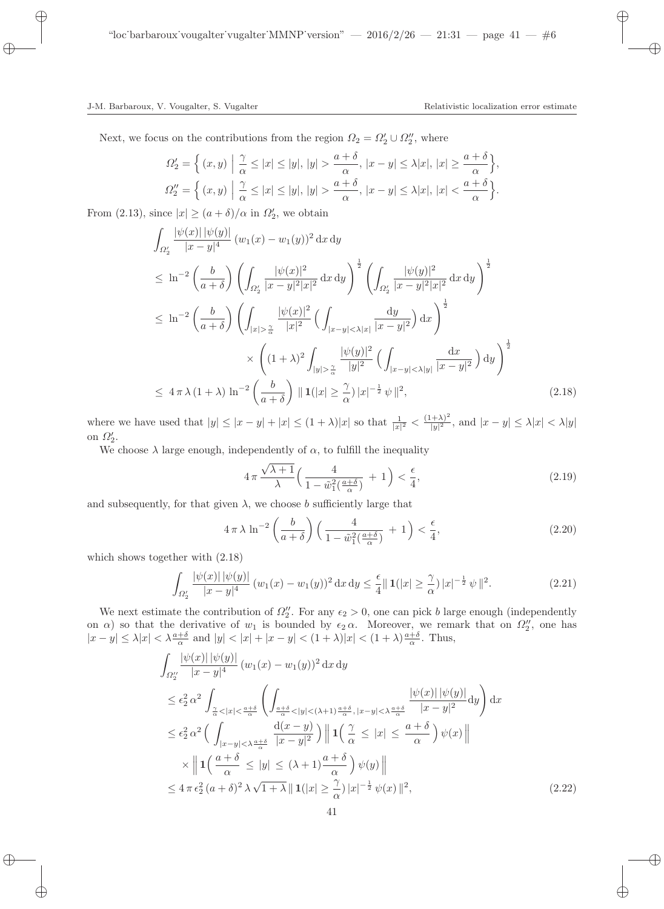Next, we focus on the contributions from the region  $\Omega_2 = \Omega'_2 \cup \Omega''_2$ , where

$$
\Omega_2' = \left\{ (x, y) \middle| \frac{\gamma}{\alpha} \le |x| \le |y|, |y| > \frac{a + \delta}{\alpha}, |x - y| \le \lambda |x|, |x| \ge \frac{a + \delta}{\alpha} \right\},\
$$
  

$$
\Omega_2'' = \left\{ (x, y) \middle| \frac{\gamma}{\alpha} \le |x| \le |y|, |y| > \frac{a + \delta}{\alpha}, |x - y| \le \lambda |x|, |x| < \frac{a + \delta}{\alpha} \right\}.
$$

From (2.13), since  $|x| \ge (a + \delta)/\alpha$  in  $\Omega'_2$ , we obtain

$$
\int_{\Omega'_{2}} \frac{|\psi(x)| |\psi(y)|}{|x - y|^{4}} (w_{1}(x) - w_{1}(y))^{2} dx dy
$$
\n
$$
\leq \ln^{-2} \left(\frac{b}{a + \delta}\right) \left(\int_{\Omega'_{2}} \frac{|\psi(x)|^{2}}{|x - y|^{2}|x|^{2}} dx dy\right)^{\frac{1}{2}} \left(\int_{\Omega'_{2}} \frac{|\psi(y)|^{2}}{|x - y|^{2}|x|^{2}} dx dy\right)^{\frac{1}{2}}
$$
\n
$$
\leq \ln^{-2} \left(\frac{b}{a + \delta}\right) \left(\int_{|x| > \frac{\gamma}{\alpha}} \frac{|\psi(x)|^{2}}{|x|^{2}} \left(\int_{|x - y| < \lambda|x|} \frac{dy}{|x - y|^{2}}\right) dx\right)^{\frac{1}{2}}
$$
\n
$$
\times \left((1 + \lambda)^{2} \int_{|y| > \frac{\gamma}{\alpha}} \frac{|\psi(y)|^{2}}{|y|^{2}} \left(\int_{|x - y| < \lambda|y|} \frac{dx}{|x - y|^{2}}\right) dy\right)^{\frac{1}{2}}
$$
\n
$$
\leq 4 \pi \lambda (1 + \lambda) \ln^{-2} \left(\frac{b}{a + \delta}\right) ||1 (|x| \geq \frac{\gamma}{\alpha}) |x|^{-\frac{1}{2}} \psi ||^{2}, \tag{2.18}
$$

where we have used that  $|y| \le |x - y| + |x| \le (1 + \lambda)|x|$  so that  $\frac{1}{|x|^2} < \frac{(1 + \lambda)^2}{|y|^2}$  $\frac{y+x}{|y|^2}$ , and  $|x-y| \leq \lambda |x| < \lambda |y|$ on  $\Omega'_2$ .

We choose  $\lambda$  large enough, independently of  $\alpha$ , to fulfill the inequality

$$
4\pi \frac{\sqrt{\lambda+1}}{\lambda} \Big( \frac{4}{1 - \tilde{w}_1^2(\frac{a+\delta}{\alpha})} + 1 \Big) < \frac{\epsilon}{4},\tag{2.19}
$$

and subsequently, for that given  $\lambda$ , we choose b sufficiently large that

$$
4\pi\lambda\ln^{-2}\left(\frac{b}{a+\delta}\right)\left(\frac{4}{1-\tilde{w}_1^2\left(\frac{a+\delta}{\alpha}\right)}+1\right)<\frac{\epsilon}{4},\tag{2.20}
$$

which shows together with (2.18)

$$
\int_{\Omega_2'} \frac{|\psi(x)| \, |\psi(y)|}{|x - y|^4} \, (w_1(x) - w_1(y))^2 \, \mathrm{d}x \, \mathrm{d}y \le \frac{\epsilon}{4} \| \, \mathbf{1}(|x| \ge \frac{\gamma}{\alpha}) \, |x|^{-\frac{1}{2}} \, \psi \, \|^2. \tag{2.21}
$$

We next estimate the contribution of  $\Omega''_2$ . For any  $\epsilon_2 > 0$ , one can pick b large enough (independently on  $\alpha$ ) so that the derivative of  $w_1$  is bounded by  $\epsilon_2 \alpha$ . Moreover, we remark that on  $\Omega''_2$ , one has  $|x-y| \leq \lambda |x| < \lambda \frac{a+\delta}{\alpha}$  and  $|y| < |x| + |x-y| < (1+\lambda)|x| < (1+\lambda)\frac{a+\delta}{\alpha}$ . Thus,

$$
\int_{\Omega_{2}^{\prime\prime}} \frac{|\psi(x)| \, |\psi(y)|}{|x - y|^4} \, (w_1(x) - w_1(y))^2 \, dx \, dy
$$
\n
$$
\leq \epsilon_2^2 \, \alpha^2 \int_{\frac{\alpha}{\alpha} < |x| < \frac{a + \delta}{\alpha}} \left( \int_{\frac{a + \delta}{\alpha} < |y| < (\lambda + 1) \frac{a + \delta}{\alpha}, |x - y| < \lambda \frac{a + \delta}{\alpha}} \frac{|\psi(x)| \, |\psi(y)|}{|x - y|^2} \, dy \right) dx
$$
\n
$$
\leq \epsilon_2^2 \, \alpha^2 \left( \int_{|x - y| < \lambda \frac{a + \delta}{\alpha}} \frac{d(x - y)}{|x - y|^2} \right) \left\| 1 \left( \frac{\gamma}{\alpha} \leq |x| \leq \frac{a + \delta}{\alpha} \right) \psi(x) \right\|
$$
\n
$$
\times \left\| 1 \left( \frac{a + \delta}{\alpha} \leq |y| \leq (\lambda + 1) \frac{a + \delta}{\alpha} \right) \psi(y) \right\|
$$
\n
$$
\leq 4 \pi \, \epsilon_2^2 \, (a + \delta)^2 \, \lambda \sqrt{1 + \lambda} \left\| 1(|x| \geq \frac{\gamma}{\alpha}) \, |x|^{-\frac{1}{2}} \, \psi(x) \right\|^2, \tag{2.22}
$$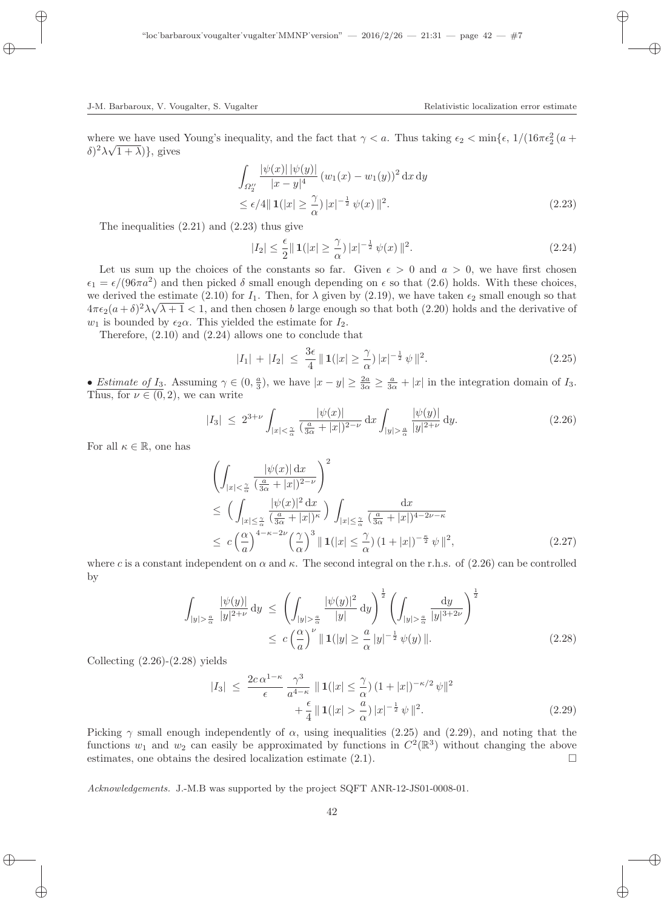where we have used Young's inequality, and the fact that  $\gamma < a$ . Thus taking  $\epsilon_2 < \min{\{\epsilon, 1/(16\pi\epsilon_2^2(a+\epsilon_1))^2, \ldots, \epsilon_n\}}$  $(\delta)^2 \lambda \sqrt{1 + \lambda}$ , gives

$$
\int_{\Omega_2^{\prime\prime}} \frac{|\psi(x)| \, |\psi(y)|}{|x - y|^4} \, (w_1(x) - w_1(y))^2 \, \mathrm{d}x \, \mathrm{d}y
$$
\n
$$
\leq \epsilon/4 \| \mathbf{1}(|x| \geq \frac{\gamma}{\alpha}) \, |x|^{-\frac{1}{2}} \, \psi(x) \, \|^2. \tag{2.23}
$$

The inequalities (2.21) and (2.23) thus give

$$
|I_2| \le \frac{\epsilon}{2} \| \mathbf{1}(|x| \ge \frac{\gamma}{\alpha}) |x|^{-\frac{1}{2}} \psi(x) \|^2.
$$
 (2.24)

Let us sum up the choices of the constants so far. Given  $\epsilon > 0$  and  $a > 0$ , we have first chosen  $\epsilon_1 = \epsilon/(96\pi a^2)$  and then picked  $\delta$  small enough depending on  $\epsilon$  so that (2.6) holds. With these choices, we derived the estimate (2.10) for  $I_1$ . Then, for  $\lambda$  given by (2.19), we have taken  $\epsilon_2$  small enough so that  $4\pi\epsilon_2(a+\delta)^2\lambda\sqrt{\lambda+1} < 1$ , and then chosen b large enough so that both (2.20) holds and the derivative of  $w_1$  is bounded by  $\epsilon_2\alpha$ . This yielded the estimate for  $I_2$ .

Therefore, (2.10) and (2.24) allows one to conclude that

$$
|I_1| + |I_2| \le \frac{3\epsilon}{4} \| \mathbf{1}(|x| \ge \frac{\gamma}{\alpha}) |x|^{-\frac{1}{2}} \psi \|^2.
$$
 (2.25)

• Estimate of I<sub>3</sub>. Assuming  $\gamma \in (0, \frac{a}{3})$ , we have  $|x - y| \geq \frac{2a}{3\alpha} \geq \frac{a}{3\alpha} + |x|$  in the integration domain of I<sub>3</sub>. Thus, for  $\nu \in (0, 2)$ , we can write

$$
|I_3| \le 2^{3+\nu} \int_{|x| < \frac{\gamma}{\alpha}} \frac{|\psi(x)|}{(\frac{a}{3\alpha} + |x|)^{2-\nu}} \, \mathrm{d}x \int_{|y| > \frac{a}{\alpha}} \frac{|\psi(y)|}{|y|^{2+\nu}} \, \mathrm{d}y. \tag{2.26}
$$

For all  $\kappa \in \mathbb{R}$ , one has

$$
\left(\int_{|x|<\frac{\gamma}{\alpha}}\frac{|\psi(x)|\,\mathrm{d}x}{\left(\frac{a}{3\alpha}+|x|\right)^{2-\nu}}\right)^{2}
$$
\n
$$
\leq \left(\int_{|x|\leq\frac{\gamma}{\alpha}}\frac{|\psi(x)|^{2}\,\mathrm{d}x}{\left(\frac{a}{3\alpha}+|x|\right)^{\kappa}}\right)\int_{|x|\leq\frac{\gamma}{\alpha}}\frac{\mathrm{d}x}{\left(\frac{a}{3\alpha}+|x|\right)^{4-2\nu-\kappa}}
$$
\n
$$
\leq c\left(\frac{\alpha}{a}\right)^{4-\kappa-2\nu}\left(\frac{\gamma}{\alpha}\right)^{3}\|\mathbf{1}(|x|\leq\frac{\gamma}{\alpha})(1+|x|)^{-\frac{\kappa}{2}}\psi\|^{2},\tag{2.27}
$$

where c is a constant independent on  $\alpha$  and  $\kappa$ . The second integral on the r.h.s. of (2.26) can be controlled by

$$
\int_{|y|>\frac{a}{\alpha}} \frac{|\psi(y)|}{|y|^{2+\nu}} dy \le \left( \int_{|y|>\frac{a}{\alpha}} \frac{|\psi(y)|^2}{|y|} dy \right)^{\frac{1}{2}} \left( \int_{|y|>\frac{a}{\alpha}} \frac{dy}{|y|^{3+2\nu}} \right)^{\frac{1}{2}}
$$
\n
$$
\le c \left( \frac{\alpha}{a} \right)^{\nu} \| \mathbf{1}(|y| \ge \frac{a}{\alpha} |y|^{-\frac{1}{2}} \psi(y) \|.
$$
\n(2.28)

Collecting  $(2.26)-(2.28)$  yields

$$
|I_3| \le \frac{2c\,\alpha^{1-\kappa}}{\epsilon} \frac{\gamma^3}{a^{4-\kappa}} \parallel 1(|x| \le \frac{\gamma}{\alpha}) \left(1+|x|\right)^{-\kappa/2} \psi\|^2 + \frac{\epsilon}{4} \parallel 1(|x| > \frac{a}{\alpha}) \, |x|^{-\frac{1}{2}} \, \psi\|^2. \tag{2.29}
$$

Picking  $\gamma$  small enough independently of  $\alpha$ , using inequalities (2.25) and (2.29), and noting that the functions  $w_1$  and  $w_2$  can easily be approximated by functions in  $C^2(\mathbb{R}^3)$  without changing the above estimates, one obtains the desired localization estimate  $(2.1)$ .

Acknowledgements. J.-M.B was supported by the project SQFT ANR-12-JS01-0008-01.